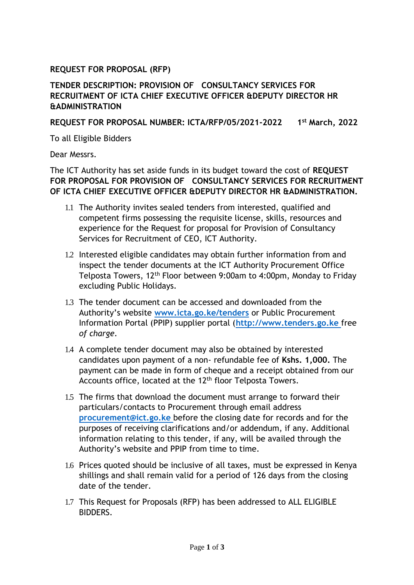## **REQUEST FOR PROPOSAL (RFP)**

## **TENDER DESCRIPTION: PROVISION OF CONSULTANCY SERVICES FOR RECRUITMENT OF ICTA CHIEF EXECUTIVE OFFICER &DEPUTY DIRECTOR HR &ADMINISTRATION**

## **REQUEST FOR PROPOSAL NUMBER: ICTA/RFP/05/2021-2022 1st March, 2022**

To all Eligible Bidders

Dear Messrs.

The ICT Authority has set aside funds in its budget toward the cost of **REQUEST FOR PROPOSAL FOR PROVISION OF CONSULTANCY SERVICES FOR RECRUITMENT OF ICTA CHIEF EXECUTIVE OFFICER &DEPUTY DIRECTOR HR &ADMINISTRATION.**

- 1.1 The Authority invites sealed tenders from interested, qualified and competent firms possessing the requisite license, skills, resources and experience for the Request for proposal for Provision of Consultancy Services for Recruitment of CEO, ICT Authority.
- 1.2 Interested eligible candidates may obtain further information from and inspect the tender documents at the ICT Authority Procurement Office Telposta Towers, 12th Floor between 9:00am to 4:00pm, Monday to Friday excluding Public Holidays.
- 1.3 The tender document can be accessed and downloaded from the Authority's website **[www.icta.go.ke/tenders](http://www.icta.go.ke/tenders)** or Public Procurement Information Portal (PPIP) supplier portal (**[http://www.tenders.go.ke](http://www.tenders.go.ke/)** free *of charge*.
- 1.4 A complete tender document may also be obtained by interested candidates upon payment of a non- refundable fee of **Kshs. 1,000.** The payment can be made in form of cheque and a receipt obtained from our Accounts office, located at the 12<sup>th</sup> floor Telposta Towers.
- 1.5 The firms that download the document must arrange to forward their particulars/contacts to Procurement through email address **[procurement@ict.go.ke](mailto:procurement@ict.go.ke)** before the closing date for records and for the purposes of receiving clarifications and/or addendum, if any. Additional information relating to this tender, if any, will be availed through the Authority's website and PPIP from time to time.
- 1.6 Prices quoted should be inclusive of all taxes, must be expressed in Kenya shillings and shall remain valid for a period of 126 days from the closing date of the tender.
- 1.7 This Request for Proposals (RFP) has been addressed to ALL ELIGIBLE BIDDERS.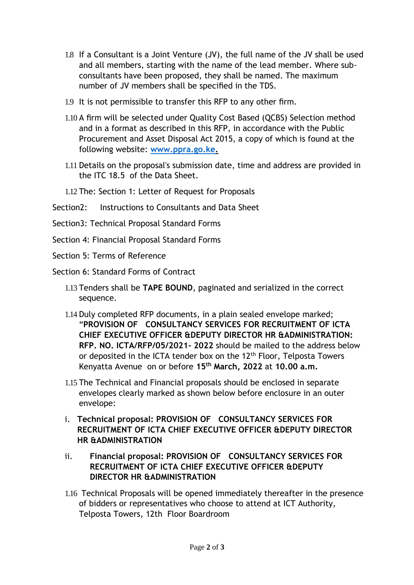- 1.8 If a Consultant is a Joint Venture (JV), the full name of the JV shall be used and all members, starting with the name of the lead member. Where subconsultants have been proposed, they shall be named. The maximum number of JV members shall be specified in the TDS.
- 1.9 It is not permissible to transfer this RFP to any other firm.
- 1.10 A firm will be selected under Quality Cost Based (QCBS) Selection method and in a format as described in this RFP, in accordance with the Public Procurement and Asset Disposal Act 2015, a copy of which is found at the following website: **[www.ppra.go.ke.](http://www.ppra.go.ke/)**
- 1.11 Details on the proposal's submission date, time and address are provided in the ITC 18.5 of the Data Sheet.
- 1.12 The: Section 1: Letter of Request for Proposals
- Section2: Instructions to Consultants and Data Sheet
- Section3: Technical Proposal Standard Forms
- Section 4: Financial Proposal Standard Forms
- Section 5: Terms of Reference
- Section 6: Standard Forms of Contract
	- 1.13 Tenders shall be **TAPE BOUND**, paginated and serialized in the correct sequence.
	- 1.14 Duly completed RFP documents, in a plain sealed envelope marked; "**PROVISION OF CONSULTANCY SERVICES FOR RECRUITMENT OF ICTA CHIEF EXECUTIVE OFFICER &DEPUTY DIRECTOR HR &ADMINISTRATION: RFP. NO. ICTA/RFP/05/2021- 2022** should be mailed to the address below or deposited in the ICTA tender box on the 12<sup>th</sup> Floor, Telposta Towers Kenyatta Avenue on or before **15th March, 2022** at **10.00 a.m.**
	- 1.15 The Technical and Financial proposals should be enclosed in separate envelopes clearly marked as shown below before enclosure in an outer envelope:
	- i. **Technical proposal: PROVISION OF CONSULTANCY SERVICES FOR RECRUITMENT OF ICTA CHIEF EXECUTIVE OFFICER &DEPUTY DIRECTOR HR &ADMINISTRATION**
	- ii. **Financial proposal: PROVISION OF CONSULTANCY SERVICES FOR RECRUITMENT OF ICTA CHIEF EXECUTIVE OFFICER &DEPUTY DIRECTOR HR &ADMINISTRATION**
	- 1.16 Technical Proposals will be opened immediately thereafter in the presence of bidders or representatives who choose to attend at ICT Authority, Telposta Towers, 12th Floor Boardroom